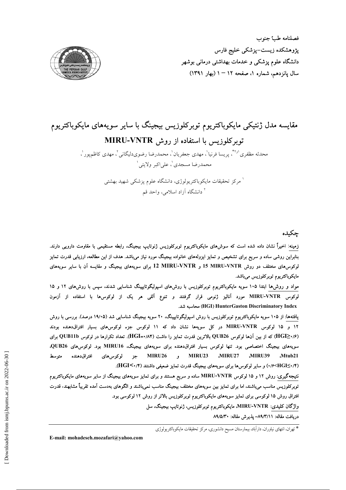

# مقایسه مدل ژنتیکی مایکوباکتریوم توبرکلوزیس بیجینگ با سایر سویههای مایکوباکتریوم توبر کلوزیس با استفاده از روش MIRU-VNTR

محدثه مظفری<sup>او ۴</sup>، پریسا فرنیا<sup>ا</sup>، مهدی جعفریان<sup>ا</sup>، محمدرضا رضوی٫لیگانی <sup>۲</sup>، مهدی کاظمپور <sup>۱</sup>، محمدرضا مسجدی'، علی اکبر ولایتی'

> <sup>ا</sup> مرکز تحقیقات مایکوباکتریولوژی، دانشگاه علوم پزشکی شهید بهشتی <sup>۲</sup> دانشگاه آزاد اسلامی، واحد قم

> > جكىدە

زمینه: اخیراً نشان داده شده است که سوش(های مایکوباکتریوم توبرکلوزیس ژنوتایپ بیجینگ، رابطه مستقیمی با مقاومت دارویی دارند. بنابراین روشی ساده و سریع برای تشخیص و تمایز ایزولههای خانواده بیجینگ مورد نیاز میباشد. هدف از این مطالعه، ارزیابی قدرت تمایز لوکوس های مختلف دو روش I5 MIRU-VNTR و MIRU-VNTR برای سویههای بیجینگ و مقایسه آن با سایر سویههای مايكوباكتريوم توبركلوزيس مىباشد.

مواد و روش۵ا ابتدا ۱۰۵ سویه مایکوباکتریوم توبرکلوزیس با روشهای اسپولیگوتایپینگ شناسایی شدند، سپس با روشهای ۱۲ و ۱۵ لوکوس MIRU-VNTR مورد آنالیز ژنومی قرار گرفتند و تنوع آللی هر یک از لوکوس۵ا با استفاده از آزمون (HGI) HunterGaston Discriminatory Index) محاسبه شد.

یافتهها: از ۱۰۵ سویه مایکوباکتریوم توبرکلوزیس با روش اسپولیگوتایپینگ، ۲۰ سویه بیجینگ شناسایی شد (۱۹/۰۵ درصد). بررسی با روش ۱۲ و ۱۵ لوکوس MIRU-VNTR در کل سویهها نشان داد که ۱۱ لوکوس جزء لوکوسهای بسیار افتراق،دهنده بودند (۱/فHGI≥۰/۶) که از بین آنها لوکوس QUB26 بالاترین قدرت تمایز را داشت (۱/۸۴=HGI). تعداد تکرارها در لوکوس QUB11b برای سویههای بیجینگ اختصاصی بود. تنها لوکوس بسیار افتراقدهنده برای سویههای بیجینگ، MIRU16 بود. لوکوسهای QUB26، MIRU26 و MIRU23 MIRU27 MIRU39 افتراق دهنده لوكوس هاى جز Mtub21 متوسط (۴/ ۰-HGI)/ ) و سایر لوکوس۵ا برای سویههای بیجینگ قدرت تمایز ضعیفی داشتند (۴/ ۰/۴).

نتیجهگیری: روش ۱۲ و ۱۵ لوکوس MIRU-VNTR ساده و سریع هستند و برای تمایز سویههای بیجینگ از سایر سویههای مایکوباکتریوم توبرکلوزیس مناسب میباشند، اما برای تمایز بین سویههای مختلف بیجینگ مناسب نمیباشند و الگوهای بهدست آمده تقریباً مشابهند. قدرت افتراق روش ۱۵ لوکوسی برای تمایز سویههای مایکوباکتریوم توبرکلوزیس بالاتر از روش ۱۲ لوکوسی بود.

واژگان کلیدی: MIRU-VNTR، مایکوباکتریوم توبرکلوزیس، ژنوتایپ بیجینگ، سل

دريافت مقاله: ٨٩/٣/١١- يذيرش مقاله: ٨٩/٥/٣٠

\* تهرآن، انتهای نیاوران، داراَباد، بیمارستان مسیح دانشوری، مرکز تحقیقات مایکوباکتریولوژی

E-mail: mohadeseh.mozafari@yahoo.com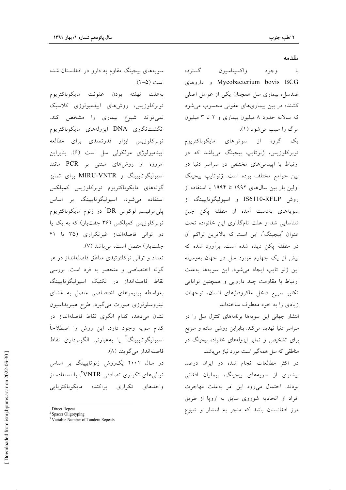#### مقدمه

گستر ده واكسيناسيون با د وجود Mycobacterium bovis BCG و داروهای ضدسل، بیماری سل همچنان یکی از عوامل اصلی کشنده در بین بیماریهای عفونی محسوب می شود که سالانه حدود ۸ میلیون بیماری و ۲ تا ۳ میلیون مرگ را سبب می شود (۱).

یک گروه از سوشهای مایکوباکتریوم توبرکلوزیس، ژنوتایپ بیجینگ میباشد که در ارتباط با اییدمی های مختلفی در سراسر دنیا در بين جوامع مختلف بوده است. ژنوتايپ بيجينگ اولین بار بین سالهای ۱۹۹۲ تا ۱۹۹۴ با استفاده از روش IS6110-RFLP و اسپوليگوتايپينگ از سویههای بهدست آمده از منطقه یکن چین شناسایی شد و علت نامگذاری این خانواده تحت عنوان "بيجينگ"، اين است كه بالاترين تراكم آن در منطقه یکن دیده شده است. برآورد شده که بیش از یک چهارم موارد سل در جهان بهوسیله این ژنو تایپ ایجاد میشود. این سویهها به علت ارتباط با مقاومت چند دارویی و همچنین توانایی تكثير سريع داخل ماكروفاژهاى انسان، توجهات زیادی را به خود معطوف ساختهاند.

انتشار جهانی این سویهها برنامههای کنترل سل را در سراسر دنیا تهدید میکند. بنابراین روشی ساده و سریع برای تشخیص و تمایز ایزولههای خانواده بیجینگ در مناطقی که سل همهگیر است مورد نیاز می باشد.

در اکثر مطالعات انجام شده در ایران درصد بیشتری از سویههای بیجینگ، بیماران افغانی بودند. احتمال می رود این امر به علت مهاجرت افراد از اتحادیه شوروی سابق به اروپا از طریق مرز افغانستان باشد که منجر به انتشار و شیوع

سویههای بیجینگ مقاوم به دارو در افغانستان شده است (۵-۲).

بهعلت نهفته بودن عفونت مايكوباكتريوم توبرکلوزیس، روشهای ایپدمیولوژی کلاسیک نمی تواند شیوع بیماری را مشخص کند. انگشتنگاری DNA ایزولههای مایکوباکتریوم توبركلوزيس ابزار قدرتمندي براي مطالعه اپیدمیولوژی مولکولی سل است (۶). بنابراین امروزه از روشهای مبتنی بر PCR مانند اسیولیگوتایپینگ و MIRU-VNTR برای تمایز گونەھاي مايكوباكتريوم توبركلوزيس كمپلكس استفاده میشود. اسپولیگوتایپینگ بر اساس پلی مرفیسم لوکوس DRٰ در ژنوم مایکوباکتریوم توبرکلوزیس کمپلکس (۳۶ جفتباز) که به یک یا دو توالی فاصلهانداز غیرتکراری (۳۵ تا ۴۱ جفتباز) متصل است، می باشد (۷).

تعداد و توالي نوكلئوتيدي مناطق فاصلهانداز در هر گونه اختصاصی و منحصر به فرد است. بررسی نقاط فاصلهانداز در تكنيك اسيوليگوتاييينگ بهواسطه پرایمرهای اختصاصی متصل به غشای نیتروسلولوزی صورت میگیرد. طرح هیبریداسیون نشان می دهد، کدام الگوی نقاط فاصلهانداز در كدام سويه وجود دارد. اين روش را اصطلاحاً اسپولیگوتایپینگ<sup>۲</sup> یا بهعبارت<sub>ی</sub> الگوبرداری نقاط فاصلهانداز مى گويند (٨).

در سال ۲۰۰۱ یک روش ژنوتایپینگ بر اساس توالی های تکراری تصادفی VNTR"، با استفاده از واحدهاى تكرارى پراكنده مايكوباكتريايي

Direct Repeat

Spacer Oligotyping

<sup>&</sup>lt;sup>3</sup> Variable Number of Tandem Repeats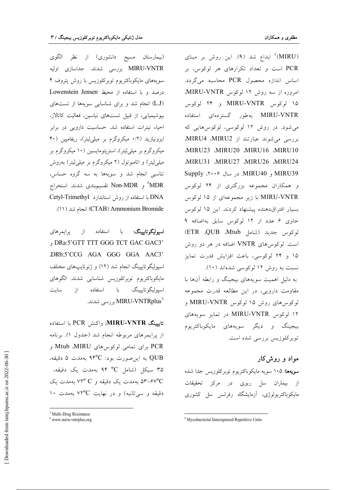(MIRU)<sup>،</sup> ابداع شد (۹). این روش بر مبنای PCR است و تعداد تکرارهای هر لوکوس، بر اساس اندازه محصول PCR محاسبه میگردد. امروزه از سه روش ١٢ لوكوس MIRU-VNTR. ۱۵ لوکوس MIRU-VNTR و ۲۴ لوکوس MIRU-VNTR بهطور گستردهای استفاده می شود. در روش ۱۲ لوکوسی، لوکوس هایی که بررسی می شوند عبارتند از MIRU4 .MIRU2. ,MIRU23 ,MIRU20 ,MIRU16 ,MIRU10 MIRU31 .MIRU27 .MIRU26 .MIRU24 MIRU39 و MIRU40. در سال ۲۰۰۶، Supply و همکاران مجموعه بزرگتری از ۲۴ لوکوس MIRU-VNTR با زير مجموعهاي از ۱۵ لوكوس بسیار افتراق دهنده پیشنهاد کردند. این ۱۵ لوکوس حاوى ۶ عدد از ١٢ لوكوس سابق بهاضافه ٩ لوكوس جديد (شامل Mtub). ETR ،QUB است. لوکوس های VNTR اضافه در هر دو روش ۱۵ و ۲۴ لوکوسی، باعث افزایش قدرت تمایز نسبت به روش ۱۲ لوکوسی شدهاند (۱۰). به دلیل اهمیت سویههای بیجینگ و رابطه آنها با

مقاومت دارویی، در این مطالعه قدرت مجموعه لوكوس هاى روش ١٥ لوكوس MIRU-VNTR و ۱۲ لوکوس MIRU-VNTR در تمایز سویههای بیجینگ و دیگر سویههای مایکوباکتریوم توبركلوزيس بررسي شده است.

مواد و روش2ار

**سویهها: ۱۰۵** سویه مایکوباکتریوم توبرکلوزیس جدا شده از بیماران سل ریوی در مرکز تحقیقات مایکوباکتریولوژی، آزمایشگاه رفرانس سل کشوری

(بیمارستان مسیح دانشوری) از نظر الگوی MIRU-VNTR بررسي شدند. جداسازي اوليه سویههای مایکوباکتریوم توبرکلوزیس با روش پتروف ۴ درصد و با استفاده از محیط Lowenstein Jensen (L.J) انجام شد و برای شناسایی سویهها از تستهای بیوشیمیایی، از قبیل تستهای نیاسین، فعالیت کاتالاز، احیاء نیترات استفاده شد. حساسیت دارویی در برابر ایزونیازید (۰/۲ میکروگرم بر میلی لیتر)، ریفامپین (۴۰ میکروگرم بر میلی[یتر)، استریتومایسین (۱۰ میکروگرم بر میلی لیتر) و اتامبوتول (۲ میکروگرم بر میلی لیتر) بهروش تناسبی انجام شد و سویهها به سه گروه حساس، MDR° و Non-MDR تقسیمبندی شدند. استخراج DNA با استفاده از روش استاندارد Cetyl-Trimethyl (١١). (CTAB) Ammonium Bromide) انجام شد (١١).

استفاده پرايمرهاي از با اسيوليگوتاييينگ: , DRa:5'GTT TTT GGG TCT GAC GAC3' DRb:5'CCG AGA GGG GGA AAC3' اسپولیگوتاییینگ انجام شد (۱۲) و ژنوتایپهای مختلف مايكوباكتريوم توبركلوزيس شناسايي شدند. الگوهاي استفاده از سايت اسيو ليگو تاپيينگ  $\mathsf L$ MIRU-VNTRplus بررسی شدند.

تايبينگ MIRU-VNTR: واكنش PCR با استفاده از پرایمرهای مربوطه انجام شد (جدول ۱). برنامه PCR برای تمامی لوکوس های Mtub ،MIRU و QUB به این صورت بود: ۹۴°C بهمدت ۵ دقیقه، ۳۵ سیکل (شامل <sup>0</sup>C ۹۴ بهمدت یک دقیقه، ۵۳-۶۷°C بهمدت یک دقیقه و ۷۲° به مدت یک  $\lambda$ ۰ دقیقه و سر ثانیه) و در نهایت ۷۲°C بهمدت

<sup>&</sup>lt;sup>4</sup> Mycobacterial Iinterspersed Repetitive Units

<sup>&</sup>lt;sup>5</sup> Multi-Drug Resistance

 $6$  www.miru-vntrplus.org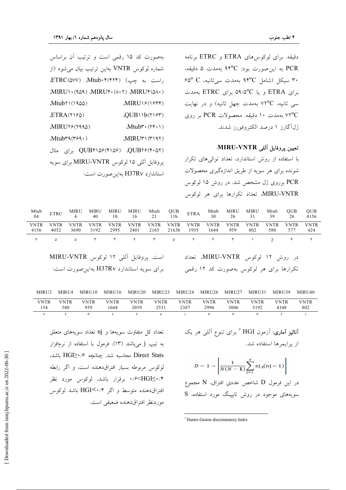دقیقه. برای لوکوسهای ETRA و ETRC برنامه PCR به این صورت بود: ۹۴°C بهمدت ۵ دقیقه،  $60^{\circ}$ C سیکل (شامل ۹۴°C بهمدت سی ثانیه، ۳۰ برای ETRA و یا ۵۹/۵°C برای ETRC بهمدت سی ثانیه، ۷۲°C بهمدت چهل ثانیه) و در نهایت ۷۲°C بهمدت ۱۰ دقیقه. محصولات PCR بر روی ژل آگارز ۱ درصد الکتروفورز شدند.

## تعيين پروفايل آللي MIRU-VNTR:

با استفاده از روش استاندارد، تعداد توالیهای تکرار شونده برای هر سویه از طریق اندازهگیری محصولات PCR برروی ژل مشخص شد. در روش ۱۵ لوکوس MIRU-VNTR، تعداد تكرارها براي هر لوكوس

| بهصورت کد ۱۵ رقمی است و ترتیب آن براساس                        |                                 |
|----------------------------------------------------------------|---------------------------------|
| شماره لوكوس VNTR بهاين ترتيب بيان مى شود (از                   |                                 |
| راست به چپ) Mtub.۴(۴۲۴) (ETRC(۵۷۷                              |                                 |
| MIRUI.(909) MIRUI.(A.T) MIRUI(0A.)                             |                                 |
| Mtub 1 (1900)                                                  | MIRUIS(ISTT)                    |
| ETRA(Y S0)                                                     | QUB11b(197)                     |
| $MIRU$ $\mathcal{V}$ $\mathcal{V}$ $\mathcal{V}$ $\mathcal{V}$ | $Mtubr\cdot(Yf\cdot Y)$         |
| Mtubra(rsq.)                                                   | MIRU٣١ (٣١٩٢)                   |
| QUB۲۶(۴۰۵۲) (QUB۴۱۵۶(۴۱۵۶ برای مثال                            |                                 |
| پروفایل آللی ۱۵ لوکوس MIRU-VNTR برای سویه                      |                                 |
|                                                                | استاندارد H37Rv بهاین صورت است: |

| Mtub<br>04                                                                        | <b>ETRC</b>         | MIRU<br>4           | MIRU<br>40          | MIRU<br>10   | MIRU<br>16          | Mtub<br>21          | QUB<br>11 <sub>b</sub> | <b>ETRA</b>                      | Mtub<br>30          | MIRU<br>26  | MIRU<br>31                              | Mtub<br>39         | <b>OUB</b><br>26   | QUB<br>4156        |
|-----------------------------------------------------------------------------------|---------------------|---------------------|---------------------|--------------|---------------------|---------------------|------------------------|----------------------------------|---------------------|-------------|-----------------------------------------|--------------------|--------------------|--------------------|
| <b>VNTR</b><br>4156                                                               | <b>VNTR</b><br>4052 | <b>VNTR</b><br>3690 | <b>VNTR</b><br>3192 | VNTR<br>2995 | <b>VNTR</b><br>2401 | <b>VNTR</b><br>2165 | <b>VNTR</b><br>2163b   | <b>VNTR</b><br>1955              | <b>VNTR</b><br>1644 | VNTR<br>959 | VNTR<br>802                             | <b>VNTR</b><br>580 | <b>VNTR</b><br>577 | <b>VNTR</b><br>424 |
|                                                                                   | $\Delta$            | Δ                   | $\mathbf{r}$        | $\mathbf{r}$ | $\mathbf{r}$        | $\mathbf{r}$        | ۵                      | $\mathsf{r}$                     | $\mathsf{r}$        | ٣           |                                         | $\mathcal{D}$      | ۴                  | ۲                  |
| است. پروفایل آللی ۱۲ لوکوس MIRU-VNTR<br>برای سویه استاندارد H37Rv بهاین صورت است: |                     |                     |                     |              |                     |                     |                        | در روش ١٢ لوكوس MIRU-VNTR، تعداد |                     |             | تکرارها برای هر لوکوس بهصورت کد ۱۲ رقمی |                    |                    |                    |

| MIRU <sub>2</sub> | MIRU4       | MIRU10      | MIRU16       | MIRU20       | MIRU23       | MIRU24       | MIRU26       | MIRU27              | MIRU31       | MIRU39       | MIRU40      |
|-------------------|-------------|-------------|--------------|--------------|--------------|--------------|--------------|---------------------|--------------|--------------|-------------|
| VNTR<br>154       | VNTR<br>580 | VNTR<br>959 | VNTR<br>.644 | VNTR<br>2059 | VNTR<br>2531 | VNTR<br>2387 | VNTR<br>2996 | <b>VNTR</b><br>3006 | VNTR<br>3192 | VNTR<br>4348 | VNTR<br>802 |
|                   |             |             |              |              |              |              |              |                     |              |              |             |

**آنالیز آماری:** آزمون HGI <sup>۷</sup> برای تنوع آلل<sub>ی</sub> هر یک از یرایمرها استفاده شد.  $D = 1 - \left[ \frac{1}{N(N-1)} \sum_{i=1}^{s} n j_{i}(nj-1) \right]$ 

در این فرمول D شاخص عددی افتراق، N مجموع سویههای موجود در روش تایپینگ مورد استفاده، S

تعداد کل متفاوت سویهها و nj تعداد سویههای متعلق به تيپ j ميباشد (١٣). فرمول با استفاده از نرمافزار Direct Stats محاسبه شد. چنانچه HGI $\geq$ ۰/۶ باشد، لوكوس مربوطه بسيار افتراق دهنده است، و اگر رابطه ۰/۶<HGI≤۰/۴ برقرار باشد، لوکوس مورد نظر افتراق دهنده متوسط و اگر HGI<۰/۴ باشد لوکوس موردنظر افتراقدهنده ضعيفي است.

<sup>&</sup>lt;sup>7</sup> Hunter-Gaston discriminatory Index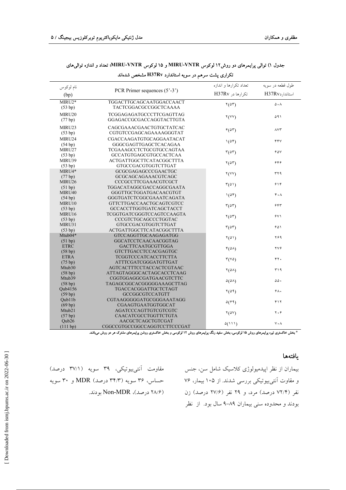| نام لوكوس              |                                                               | تعداد تكرارها و اندازه             | طول قطعه در سویه                    |
|------------------------|---------------------------------------------------------------|------------------------------------|-------------------------------------|
| (bp)                   | PCR Primer sequences $(5' - 3')$                              | تکرارها در H37Rv                   | استاندار دH37Rv                     |
| MIRU2*<br>(53 bp)      | TGGACTTGCAGCAATGGACCAACT<br>TACTCGGACGCCGGCTCAAAA             | $\mathcal{Y}(\Delta \mathcal{Y})$  | $\Delta \cdot \Lambda$              |
| MIRU20<br>(77 bp)      | TCGGAGAGATGCCCTTCGAGTTAG<br>GGAGACCGCGACCAGGTACTTGTA          | $\mathsf{Y}(\mathsf{Y}\mathsf{Y})$ | ۵۹۱                                 |
| MIRU23<br>(53 bp)      | CAGCGAAACGAACTGTGCTATCAC<br>CGTGTCCGAGCAGAAAAGGGTAT           | $f(\Delta \tau)$                   | $\wedge \vee \vee$                  |
| MIRU24<br>(54 bp)      | CGACCAAGATGTGCAGGAATACAT<br>GGGCGAGTTGAGCTCACAGAA             | $\mathcal{N}(\Delta \mathcal{F})$  | ۴۴٧                                 |
| MIRU27<br>(53 bp)      | TCGAAAGCCTCTGCGTGCCAGTAA<br>GCCATGTGAGCGTGCCACTCAA            | $\mathbf{r}(\Delta \mathbf{r})$    | $90\sqrt{ }$                        |
| MIRU39<br>(53 bp)      | <b>ACTGATTGGCTTCATACGGCTTTA</b><br>GTGCCGACGTGGTCTTGAT        | $\mathcal{N}(\Delta \mathcal{F})$  | ۶۴۶                                 |
| MIRU4*<br>(77 bp)      | GCGCGAGAGCCCGAACTGC<br>GCGCAGCAGAAACGTCAGC                    | Y(YY)                              | ٣٢٩                                 |
| MIRU26<br>(51 bp)      | CCCGCCTTCGAAACGTCGCT<br>TGGACATAGGCGACCAGGCGAATA              | $\mathcal{F}(\Delta)$              | 919                                 |
| MIRU40<br>(54 bp)      | GGGTTGCTGGATGACAACGTGT<br>GGGTGATCTCGGCGAAATCAGATA            | $\mathcal{N}(\Delta \mathcal{F})$  | 4.1                                 |
| MIRU10<br>(53 bp)      | GTTCTTGACCAACTGCAGTCGTCC<br><b>GCCACCTTGGTGATCAGCTACCT</b>    | $\mathcal{F}(\Delta \mathcal{F})$  | 555                                 |
| MIRU16<br>(53 bp)      | TCGGTGATCGGGTCCAGTCCAAGTA<br>CCCGTCTGCAGCCCTGGTAC             | $\mathcal{N}(\Delta \mathcal{F})$  | ۶۷۱                                 |
| MIRU31<br>(53 bp)      | <b>GTGCCGACGTGGTCTTGAT</b><br><b>ACTGATTGGCTTCATACGGCTTTA</b> | $\mathcal{F}(\Delta \mathcal{F})$  | ۶۵۱                                 |
| Mtub $04*$<br>(51 bp)  | GTCCAGGTTGCAAGAGATGG<br>GGCATCCTCAACAACGGTAG                  | $\mathcal{N}(\Delta \mathcal{N})$  | ۲۶۹                                 |
| <b>ETRC</b><br>(58 bp) | <b>GACTTCAATGCGTTGGA</b><br><b>GTCTTGACCTCCACGAGTGC</b>       | $\mathfrak{r}(\Delta\lambda)$      | $\gamma \gamma \hat{r}$             |
| <b>ETRA</b><br>(75 bp) | <b>TCGGTCCCATCACCTTCTTA</b><br>ATTTCGATCGGGATGTTGAT           | $\mathcal{r}(\vee \Delta)$         | ۴٢.                                 |
| Mtub30<br>(58 bp)      | AGTCACTTTCCTACCACTCGTAAC<br>ATTAGTAGGGCACTAGCACCTCAAG         | $\mathcal{N}(\Delta \Lambda)$      | ۳۱۹                                 |
| Mtub39<br>(58 bp)      | CGGTGGAGGCGATGAACGTCTTC<br>TAGAGCGGCACGGGGGAAAGCTTAG          | $\Delta(\Delta\Lambda)$            | $\Delta \Delta$ .                   |
| Oub4156<br>(59 bp)     | TGACCACGGATTGCTCTAGT<br><b>GCCGGCGTCCATGTT</b>                | $\mathcal{Y}(\Delta \mathcal{A})$  | 6.4                                 |
| Oub11b<br>(69 bp)      | CGTAAGGGGGATGCGGGAAATAGG<br>CGAAGTGAATGGTGGCAT                | $\Delta(\hat{r}\hat{r})$           | ۴۱۲                                 |
| Mtub21<br>(57 bp)      | AGATCCCAGTTGTCGTCGTC<br>CAACATCGCCTGGTTCTGTA                  | $\mathbf{Y}(\Delta\mathbf{V})$     | $\mathbf{Y} \cdot \mathbf{\hat{r}}$ |
| Qub26<br>(111 bp)      | AACGCTCAGCTGTCGAT<br>CGGCCGTGCCGGCCAGGTCCTTCCCGAT             | $\Delta(111)$                      | $\vee \cdot \wedge$                 |

# جدول ۱) توالی پرایمرهای دو روش۱۲ لوکوس MIRU-VNTR و ۱۵ لوکوس MIRU-VNTR؛ تعداد و اندازه توالی های

تکراری پشت سرهم در سویه استاندارد H37Rv مشخص شدهاند

\* بخش خاکستری تیره پرایمرهای روش ۱۵ لوکوسی، بخش سفید رنگ پرایمرهای روش ۱۲ لوکوسی و بخش خاکستری روشن پرایمرهای مشترک هر دو روش میباشد.

### يافتهها

بیماران از نظر اپیدمیولوژی کلاسیک شامل سن، جنس و مقاوت آنتیبیوتیکی بررسی شدند. از ۱۰۵ بیمار، ۷۶ نفر (۷۲/۴ درصد) مرد، و ۲۹ نفر (۲۷/۶ درصد) زن بودند و محدوده سنی بیماران ۸۹–۹ سال بود. از نظر

مقاومت آنتیبیوتیکی، ۳۹ سویه (۳۷/۱ درصد) حساس، ۳۶ سويه (۳۴/۳ درصد) MDR و ۳۰ سويه 1۸/۶ درصد)، Non-MDR بو دند.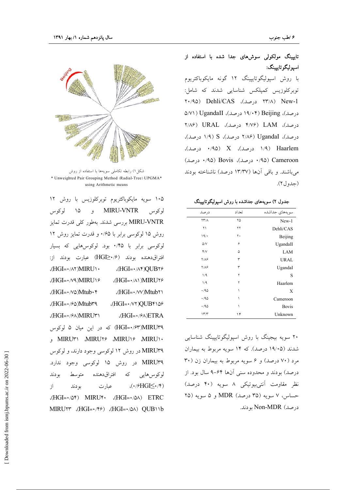

شکل ۱) رابطه تکاملی سویهها با استفاده از روش \* Unweighted Pair Grouping Method (Radial-Tree) UPGMA\* using Arithmetic means

۱۰۵ سویه مایکوباکتریوم توبرکلوزیس با روش ۱۲ MIRU-VNTR و ۱۵ لوکوس لوكوس MIRU-VNTR بررسی شدند. بهطور کلی قدرت تمایز روش ۱۵ لوکوسی برابر با ۰/۶۵ و قدرت تمایز روش ۱۲ لوکوسی برابر با ۰/۴۵ بود. لوکوسهایی که بسیار افتراقدهنده بودند (HGI≥•/۶) عبارت بودند از: <HGI= · / ٨۴) QUB۲۶  $(HGI=\cdot/\wedge\Upsilon)$ MIRU\ $\cdot$ (HGI= · /Y MIRU ) & (HGI= · / A) MIRUYS Ntub · ۴) Mtub · ۴) (HGI= · / W)Mtubr \  $(HGI = \cdot$ / $\circ \Delta)$ Mtubra  $(HGI = \cdot \wedge \vee \vee OUB$ (HGI=·/۶A)MIRU۳۱  $(HGI = \cdot \frac{5}{2})ETRA$ HGI=٠/۶۳)MIRU۳۹) که در این میان ۵ لوکوس MIRUY MIRUY MIRUY MIRUY و MIRUY MIRU۳۹ در روش ۱۲ لوکوسی وجود دارند، و لوکوس MIRU۳۹ در روش ۱۵ لوکوسی وجود ندارد. لوكوس هايي كه افتراق دهنده متوسط بودند  $\langle \cdot \rangle$ FHGI $\leq \cdot \rangle$ (\*)  $j$ عبار ت بو دند  $(HGI = \cdot / \delta f)$  MIRU $f \cdot$   $(HGI = \cdot / \delta \wedge)$  ETRC  $MIRUYY$  (HGI= $\cdot$ /\* $\cdot$ ) (HGI= $\cdot$ / $\circ$ A) QUB $\cdot$ 1b

تایپینگ مولکولی سوشهای جدا شده با استفاده از اسيوليگوتاييينگ:

با روش اسپولیگوتایپینگ ۱۲ گونه مایکوباکتریوم توبركلوزيس كميلكس شناسايي شدند كه شامل: ۲۰/۹۵) Dehli/CAS درصد)، ۲۰/۹۵ Dehli/CAS درصد)، ۱۹/۰۴ (۱۹/۰۴ درصد)، UgandaII (۵/۷۱  $Y/A$  (م. م.ل)، K/V۶ (م.صد)، URAL (۲/۸۶  $(1/9)$  S (۱/۹) (۲/۸۶ درصد)، S (۱/۹) درصد)، ۰/۹۵ (۱/۹ درصد)، X (۹۵۰ درصد)، (۰/۹۵ Cameroon درصد)، Bovis (۰/۹۵ درصد) می باشند. و باقی آنها (۱۳/۳۷ درصد) ناشناخته بودند (جدول ۲).

| جدول ۲) سویههای جداشده با روش اسپولیگوتایپینگ |  |  |  |  |  |
|-----------------------------------------------|--|--|--|--|--|
|-----------------------------------------------|--|--|--|--|--|

| سويەھاي جداشده | تعداد | درصد                       |
|----------------|-------|----------------------------|
| New-1          | ۲۵    | $\Upsilon\Upsilon/\Lambda$ |
| Dehli/CAS      | ۲۲    | ۲۱                         |
| Beijing        | ٢٠    | 19/                        |
| UgandaII       | ۶     | $\Delta/V$                 |
| LAM            | ۵     | Y/V                        |
| <b>URAL</b>    | ٣     | $Y/\Lambda$ ۶              |
| UgandaI        | ٣     | $Y/\Lambda$ ۶              |
| S              | ۲     | 1/9                        |
| Haarlem        | ۲     | 1/9                        |
| X              | ١     | $\cdot$ /90                |
| Cameroon       | ١     | .40                        |
| <b>Bovis</b>   | ١     | .40                        |
| Unknown        | ۱۴    | 17/T                       |

۲۰ سویه بیجینگ با روش اسپولیگوتایپینگ شناسایی شدند (۱۹/۰۵ درصد). که ۱۴ سویه مربوط به بیماران مرد (۷۰ درصد) و ۶ سویه مربوط به بیماران زن (۳۰ درصد) بودند و محدوده سنی آنها ۶۴-۹ سال بود. از نظر مقاومت آنتیبیوتیکی ۸ سویه (۴۰ درصد) حساس، ۷ سويه (۳۵ درصد) MDR و ۵ سويه (۲۵ درصد) Non-MDR بودند.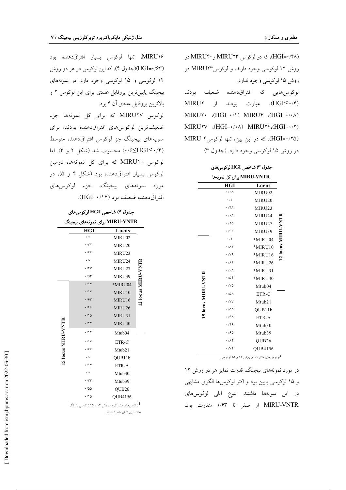(HGI=۰/۴۸)، که دو لوکوس MIRU۲۳ و MIRU۴۰ در روش ۱۲ لوکوسی وجود دارند، و لوکوسMIRU۲۳ در روش ۱۵ لوکوسی وجود ندارد. لوكوس هايي كه افتراق دهنده ضعيف بودند (HGI<۰/۴)، عبارت بودند از MIRU۲  $MIRUV$  (HGI=  $\cdot$  /)  $MIRUV$  (HGI=  $\cdot$  /  $\cdot$   $\wedge$  )  $MIRUVV$  (HGI= $\cdot/\cdot \wedge$ )  $MIRUVY$ , (HGI= $\cdot/\tau$ ) (HGI= • /۲۵). که در این بین، تنها لوکوس ؟ MIRU در روش ۱۵ لوکوسی وجود دارد. (جدول ۳)

جدول ٣) شاخص HGI لوكوسهاى

|                    | MIRU-VNTR برای کل نمونهها   |                   |                    |
|--------------------|-----------------------------|-------------------|--------------------|
|                    | <b>HGI</b>                  | Locus             |                    |
|                    | $\cdot/\cdot$ $\wedge$      | MIRU02            |                    |
|                    | $\cdot$ /٢                  | MIRU20            |                    |
|                    | ۰/۴۸                        | MIRU23            |                    |
|                    | $\cdot$ / $\cdot$ $\wedge$  | MIRU24            |                    |
|                    | $\cdot$ /۲۵                 | MIRU27            |                    |
|                    | ۰/۶۳                        | MIRU39            |                    |
|                    | $\cdot/$                    | *MIRU04           | 12 locus MIRU-VNTH |
|                    | $\cdot/\lambda$ ٢           | *MIRU10           |                    |
|                    | $\cdot$ / $\vee$ 9          | *MIRU16           |                    |
|                    | $\cdot/\lambda$             | *MIRU26           |                    |
|                    | $\cdot$ /۶۸                 | *MIRU31           |                    |
|                    | $\cdot$ /04                 | *MIRU40           |                    |
| 15 locus MIRU-VNTR | $\cdot$ / $\vee$ $\circ$    | Mtub04            |                    |
|                    | $\cdot$ /0/                 | ETR-C             |                    |
|                    | $\cdot$ / $VV$              | Mtub21            |                    |
|                    | $\cdot$ /0 $\wedge$         | QUB11b            |                    |
|                    | $\cdot$ /۶۸                 | ETR-A             |                    |
|                    | ۰٬۴۶                        | Mtub30            |                    |
|                    | $\cdot$ / $\approx$ $\circ$ | Mtub39            |                    |
|                    | $\cdot/\Lambda$ ۴           | QUB <sub>26</sub> |                    |
|                    | $\cdot$ / $\vee$ $\check{}$ | <b>OUB4156</b>    |                    |

\*لوکوسهای مشترک دو روش ۱۲ و ۱۵ لوکوسی

در مورد نمونههای بیجینگ، قدرت تمایز هر دو روش ۱۲ و ۱۵ لوکوسی پایین بود و اکثر لوکوسها الگوی مشابهی در این سویهها داشتند. تنوع آللی لوکوس۵ای MIRU-VNTR از صفر تا ۰/۶۳ متفاوت بود.

MIRU۱۶، تنها لوکوس بسیار افتراقدهنده بود (۱۶۳–HGI)(جدول ۴)، که این لوکوس در هر دو روش ١٢ لوكوسى و ١٥ لوكوسى وجود دارد. در نمونههاى بیجینگ پایین ترین پروفایل عددی برای این لوکوس ۲ و بالاترين يروفايل عددي آن ۴ بود.

لوکوس MIRU۲۷ که برای کل نمونهها جزء ضعیفترین لوکوسهای افتراق دهنده بودند، برای سویههای بیجینگ جز لوکوس افتراقدهنده متوسط ۰/۶٬ کاHGI(۰/۴) محسوب شد (شکل ۲ و ۳). اما لوکوس MIRU۱۰ که برای کل نمونهها، دومین لوکوس بسیار افتراقدهنده بود (شکل ۴ و ۵)، در مورد نمونههای بیجینگ، جزء لوکوسرهای افتراق دهنده ضعيف بود (۱۴/۰=HGI).

جدول ۴) شاخص HGI لوکوسهای MIRU-VNTR برای نمونههای بیجینگ

|                    | <b>HGI</b>                                      | Locus              |                    |
|--------------------|-------------------------------------------------|--------------------|--------------------|
|                    | $\cdot/\cdot$                                   | MIRU02             |                    |
|                    | $\cdot$ /۳۲                                     | MIRU20             |                    |
|                    | $\cdot$ /۴۴                                     | MIRU23             |                    |
|                    | $\cdot$ / $\cdot$                               | MIRU24             |                    |
|                    | $\cdot$ /۴۷                                     | MIRU27             |                    |
|                    | $\cdot$ /0۳                                     | MIRU39             |                    |
|                    | .79                                             | *MIRU04            | 12 locus MIRU-VNTR |
|                    | $\cdot/14$                                      | MIRU10             |                    |
|                    | $\cdot$ /۶۳                                     | MIRU16             |                    |
|                    | .799                                            | MIRU26             |                    |
|                    | $\cdot/10$                                      | MIRU31             |                    |
|                    | $\cdot$ /٢۴                                     | MIRU40             |                    |
| 15 locus MIRU-VNTR | $\cdot$ /\۴                                     | Mtub <sub>04</sub> |                    |
|                    | $\cdot/\prime$                                  | ETR-C              |                    |
|                    | $\cdot$ /۴۴                                     | Mtub21             |                    |
|                    | $\cdot/\cdot$                                   | QUB11b             |                    |
|                    | $\cdot/\prime$                                  | ETR-A              |                    |
|                    | $\cdot/$                                        | Mtub30             |                    |
|                    | $\cdot$                                         | Mtub39             |                    |
|                    | $\cdot$ /00                                     | QUB <sub>26</sub>  |                    |
|                    | $\cdot/\backslash \Delta$                       | QUB4156            |                    |
|                    | *<br>*ارکن های مثترک در روش ۱۲ و ۱۵ ارکن براینگ |                    |                    |

ر ۱۵ لوکوسی با رنگ .<br>خاکستری نشان داده شده اند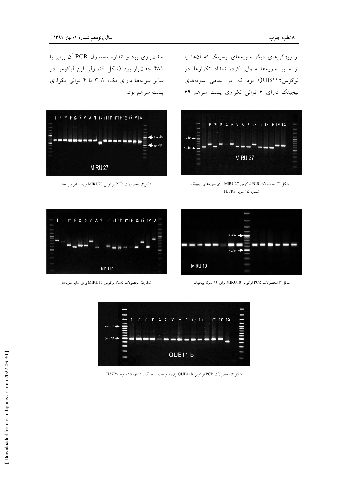جفتبازی بود و اندازه محصول PCR آن برابر با ۴۸۱ جفتباز بود (شکل ۶)، ولی این لوکوس در سایر سویهها دارای یک، ۲، ۳ یا ۴ توالی تکراری پشت سرهم بود.



شكل ٣) محصولات PCR لوكوس MIRU27 براي ساير سويهها

از ویژگیهای دیگر سویههای بیجینگ که آنها را از سایر سویهها متمایز کرد، تعداد تکرارها در لوکوسPUB۱۱b بود که در تمامی سویههای بیجینگ دارای ۶ توالی تکراری پشت سرهم ۶۹



شکل ۲) محصولات PCR لوکوس MIRU27 برای سویههای بیجینگ، شماره ۱۵ سويه H37Rv



شکل۴) محصولات PCR لوکوس MIRU10 برای ۱۴ نمونه بیجینگ



شكل۵) محصولات PCR لوكوس MIRU10 براي ساير سويهها



شکل ۶) محصولات PCR لوکوس QUB11b برای سویههای بیجینگ ، شماره ۱۵ سویه H37Rv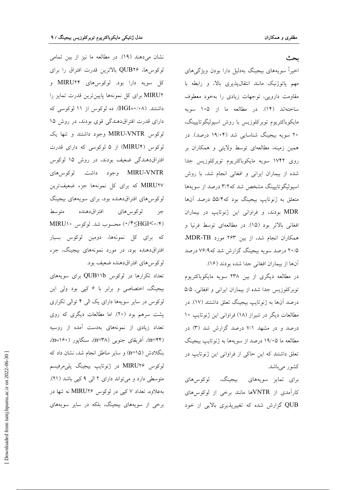#### ىحث

اخیراً سویههای بیجینگ بهدلیل دارا بودن ویژگیهای مهم پاتوژنیک مانند انتقالپذیری بالا، و رابطه با مقاومت دارویی، توجهات زیادی را بهخود معطوف ساختهاند (۱۴). در مطالعه ما از ۱۰۵ سویه مايكوباكتريوم توبركلوزيس با روش اسپوليگوتايپينگ، ۲۰ سویه بیجینگ شناسایی شد (۱۹/۰۴ درصد). در همین زمینه، مطالعهای توسط ولایتی و همکاران بر روی ۱۷۴۲ سویه مایکوباکتریوم توبرکلوزیس جدا شده از بیماران ایرانی و افغانی انجام شد، با روش اسیولیگوتاییینگ مشخص شد که ۳/۲ درصد از سویهها متعلق به ژنوتایپ بیجینگ بود که۵/۴ درصد آنها MDR بودند، و فراوانی این ژنوتایپ در بیماران افغانی بالاتر بود (١٥). در مطالعهای توسط فرنیا و همکاران انجام شد، از بین ۲۶۳ مورد MDR-TB. ۲۰/۵ درصد سویه بیجینگ گزارش شد که۷۶/۹ درصد آنها از بيماران افغاني جدا شده بودند (١۶).

در مطالعه دیگری از بین ۲۳۸ سویه مایکوباکتریوم توبركلوزيس جدا شده از بيماران ايراني و افغاني، ٥/٥ درصد آنها به ژنوتایپ بیجینگ تعلق داشتند (۱۷). در مطالعات دیگر در شیراز (١٨) فراوانی این ژنوتایپ ١٠ درصد و در مشهد ۷/۱ درصد گزارش شد (۳) در مطالعه ما ۱۹/۰۵ درصد از سویهها به ژنوتایپ بیجینگ تعلق داشتند که این حاکی از فراوانی این ژنوتایپ در كشور مىباشد.

بيجينگ، لوكوسهاي برای تمایز سویههای كارآمدي از VNTRها مانند برخي از لوكوس هاي QUB گزارش شده که تغییریذیری بالایی از خود

نشان میدهند (۱۹). در مطالعه ما نیز از بین تمامی لوكوسها، QUB۲۶ بالاترين قدرت افتراق را براي كل سويه دارا بود. لوكوسهاى MIRU۲۴ و MIRU۲ برای کل نمونهها پایینترین قدرت تمایز را داشتند. (HGI=٠/٠٨). ده لوکوس از ١١ لوکوسی که دارای قدرت افتراقدهندگی قوی بودند، در روش ۱۵ لوكوس MIRU-VNTR وجود داشتند و تنها يك لوکوس (MIRU۴) از ۵ لوکوسی که دارای قدرت افتراقدهندگی ضعیف بودند، در روش ۱۵ لوکوس MIRU-VNTR وجود داشت. لوكوسرهاي MIRU۲۷ که برای کل نمونهها جزء ضعیفترین لوکوسهای افتراقدهنده بود، برای سویههای بیجینگ متوسط افتر اق دهنده لوکوس های جز (۰/۴≤HGI) محسوب شد. لوکوس ۱۰ MIRU که برای کل نمونهها، دومین لوکوس بسیار افتراقدهنده بود، در مورد نمونههای بیجینگ، جزء لوكوس هاي افتراق دهنده ضعيف بود.

تعداد تکرارها در لوکوس QUB۱۱b برای سویههای بیجینگ، اختصاصی و برابر با ۶ کپی بود ولی این لوکوس در سایر سویهها دارای یک الی ۴ توالی تکراری پشت سرهم بود (۲۰). اما مطالعات دیگری که روی تعداد زیادی از نمونههای بهدست آمده از روسیه (n=۴۴)، آفریقای جنوبی (۳۸–n)، سنگایور (۱۶۰–n)، بنگلادش (n=۱۵) و سایر مناطق انجام شد، نشان داد که لوكوس MIRU۲۶ در ژنوتايپ بيجينگ پلې مرفيسم متوسطی دارد و میتواند دارای ۲ الی ۹ کپی باشد (۲۱). به علاوه، تعداد ۷ کی<sub>می</sub> در لوکوس MIRU۲۶ نه تنها در برخی از سویههای بیجینگ، بلکه در سایر سویههای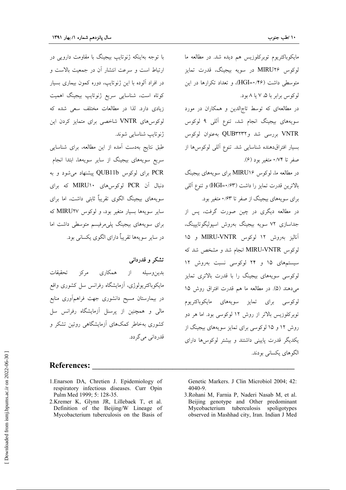مايكوباكتريوم توبركلوزيس هم ديده شد. در مطالعه ما لوکوس MIRU۲۶ در سویه بیجینگ، قدرت تمایز متوسطی داشت (۴۶/•HGI)، و تعداد تکرارها در این لو کوس برابر یا ۵، ۷ یا ۸ بود.

در مطالعهای که توسط تاجالدین و همکاران در مورد سویههای بیجینگ انجام شد، تنوع آللی ۹ لوکوس VNTR بررسی شد وQUB۳۲۳۲ به عنوان لوکوس بسیار افتراقدهنده شناسایی شد. تنوع آللی لوکوسها از صفر تا ۰/۷۴ متغیر بود (۶).

در مطالعه ما، لوکوس MIRU۱۶ برای سویههای بیجینگ بالاترين قدرت تمايز را داشت (HGI=٠/۶۳) و تنوع آللي

برای سویههای بیجینگ از صفر تا ۰/۶۳ متغیر بود. در مطالعه دیگری در چین صورت گرفت، پس از جداسازى ٧٢ سويه بيجينگ بهروش اسپوليگوتايپينگ، آنالیز بهروش ۱۲ لوکوس MIRU-VNTR و ۱۵ لوكوس MIRU-VNTR انجام شد و مشخص شد كه سیستمهای ۱۵ و ۲۴ لوکوسی نسبت بهروش ۱۲ لوکوسی سویههای بیجینگ را با قدرت بالاتری تمایز می دهند (۵). در مطالعه ما هم قدرت افتراق روش ۱۵ لوکوسی برای تمایز سویههای مایکوباکتریوم توبرکلوزیس بالاتر از روش ۱۲ لوکوسی بود. اما هر دو روش ۱۲ و ۱۵ لوکوسی برای تمایز سویههای بیجینگ از یکدیگر قدرت پایینی داشتند و بیشتر لوکوس ها دارای الگوهای یکسانی بودند.

با توجه بهاینکه ژنوتایپ بیجینگ با مقاومت دارویی در ارتباط است و سرعت انتشار آن در جمعیت بالاست و در افراد آلوده با این ژنوتایپ، دوره کمون بیماری بسیار کوتاه است، شناسایی سریع ژنوتایپ بیجینگ اهمیت زیادی دارد. لذا در مطالعات مختلف سعی شده که لوكوس هاي VNTR شاخصي براي متمايز كردن اين ژنوتايپ شناسايي شوند.

طبق نتايج بهدست آمده از اين مطالعه، براي شناسايي سریع سویههای بیجینگ از سایر سویهها، ابتدا انجام PCR برای لوکوس QUB11b پیشنهاد می شود و به دنبال آن PCR لوکوسهای MIRU۱۰ که برای سویههای بیجینگ الگوی تقریباً ثابتی داشت، اما برای سایر سویهها بسیار متغیر بود، و لوکوس MIRU۲۷ که برای سویههای بیجینگ پلیمرفیسم متوسطی داشت اما در ساير سويهها تقريباً داراي الگوي يکساني بود.

# تشکر و قدردانی

تحقيقات همکاري مړکز بدين وسيله از مایکوباکتریولوژی، آزمایشگاه رفرانس سل کشوری واقع در بیمارستان مسیح دانشوری جهت فراهمآوری منابع مالی و همچنین از پرسنل آزمایشگاه رفرانس سل کشوری بهخاطر کمکهای آزمایشگاهی روتین تشکر و قدردانی می گر دد.

## **References:**

- 1. Enarson DA, Chretien J. Epidemiology of respiratory infectious diseases. Curr Opin Pulm Med 1999; 5: 128-35.
- 2.Kremer K, Glynn JR, Lillebaek T, et al. Definition of the Beijing/W Lineage of Mycobacterium tuberculosis on the Basis of

Genetic Markers. J Clin Microbiol 2004; 42:  $4040 - 9$ .

3. Rohani M, Farnia P, Naderi Nasab M, et al. Beijing genotype and Other predominant Mycobacterium tuberculosis spoligotypes observed in Mashhad city, Iran. Indian J Med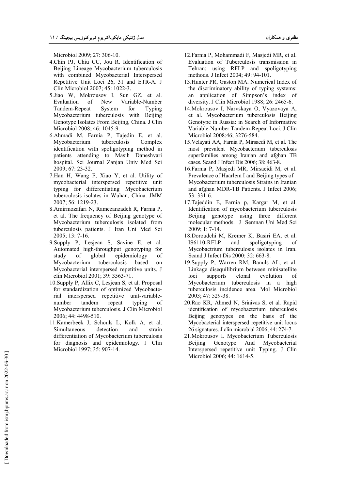Microbiol 2009; 27: 306-10.

- 4.Chin PJ, Chiu CC, Jou R. Identification of Beijing Lineage Mycobacterium tuberculosis with combined Mycobacterial Interspersed Repetitive Unit Loci 26, 31 and ETR-A. J Clin Microbiol 2007; 45: 1022-3.
- 5.Jiao W, Mokrousov I, Sun GZ, et al. Evaluation of New Variable-Number Tandem-Repeat System for Typing Mycobacterium tuberculosis with Beijing Genotype Isolates From Beijing, China. J Clin Microbiol 2008; 46: 1045-9.
- 6.Ahmadi M, Farnia P, Tajedin E, et al. Mycobacterium tuberculosis Complex identification with spoligotyping method in patients attending to Masih Daneshvari hospital. Sci Journal Zanjan Univ Med Sci 2009; 67: 23-32.
- 7.Han H, Wang F, Xiao Y, et al. Utility of mycobacterial interspersed repetitive unit typing for differentiating Mycobacterium tuberculosis isolates in Wuhan, China. JMM 2007; 56: 1219-23.
- 8.Amirmozafari N, Ramezanzadeh R, Farnia P, et al. The frequency of Beijing genotype of Mycobacterium tuberculosis isolated from tuberculosis patients. J Iran Uni Med Sci 2005; 13: 7-16.
- 9.Supply P, Lesjean S, Savine E, et al. Automated high-throughput genotyping for study of global epidemiology of Mycobacterium tuberculosis based on Mycobacterial interspersed repetitive units. J clin Microbiol 2001; 39: 3563-71.
- 10.Supply P, Allix C, Lesjean S, et al. Proposal for standardization of optimized Mycobacterial interspersed repetitive unit-variablenumber tandem repeat typing of Mycobacterium tuberculosis. J Clin Microbiol 2006; 44: 4498-510.
- 11.Kamerbeek J, Schouls L, Kolk A, et al. Simultaneous detection and strain differentiation of Mycobacterium tuberculosis for diagnosis and epidemiology. J Clin Microbiol 1997; 35: 907-14.
- 12.Farnia P, Mohammadi F, Masjedi MR, et al. Evaluation of Tuberculosis transmission in Tehran: using RFLP and spoligotyping methods. J Infect 2004; 49: 94-101.
- 13.Hunter PR, Gaston MA. Numerical Index of the discriminatory ability of typing systems: an application of Simpson's index of diversity. J Clin Microbiol 1988; 26: 2465-6.
- 14.Mokrousov I, Narvskaya O, Vyazovaya A, et al. Mycobacterium tuberculosis Beijing Genotype in Russia: in Search of Informative Variable-Number Tandem-Repeat Loci. J Clin Microbiol 2008:46; 3276-584.
- 15.Velayati AA, Farnia P, Mirsaedi M, et al. The most prevalent Mycobacterium tuberculosis superfamilies among Iranian and afghan TB cases. Scand J Infect Dis 2006; 38: 463-8.
- 16.Farnia P, Masjedi MR, Mirsaeidi M, et al. Prevalence of Haarlem I and Beijing types of Mycobacterium tuberculosis Strains in Iranian and afghan MDR-TB Patients. J Infect 2006; 53: 331-6.
- 17.Tajeddin E, Farnia p, Kargar M, et al. Identification of mycobacterium tuberculosis Beijing genotype using three different molecular methods. J Semnan Uni Med Sci 2009; 1: 7-14.
- 18.Doroudchi M, Kremer K, Basiri EA, et al. IS6110-RFLP and spoligotyping of Mycobactrium tuberculosis isolates in Iran. Scand J Infect Dis 2000; 32: 663-8.
- 19.Supply P, Warren RM, Banuls AL, et al. Linkage disequilibrium between minisatellite loci supports clonal evolution of Mycobacterium tuberculosis in a high tuberculosis incidence area. Mol Microbiol 2003; 47: 529-38.
- 20.Rao KR, Ahmed N, Srinivas S, et al. Rapid identification of mycobacterium tuberculosis Beijing genotypes on the basis of the Mycobacterial interspersed repetitive unit locus 26 signatures. J clin microbial 2006; 44: 274-7.
- 21.Mokrousov I. Mycobacterium Tuberculosis Beijing Genotype And Mycobacterial Interspersed repetitive unit Typing. J Clin Microbiol 2006; 44: 1614-5.